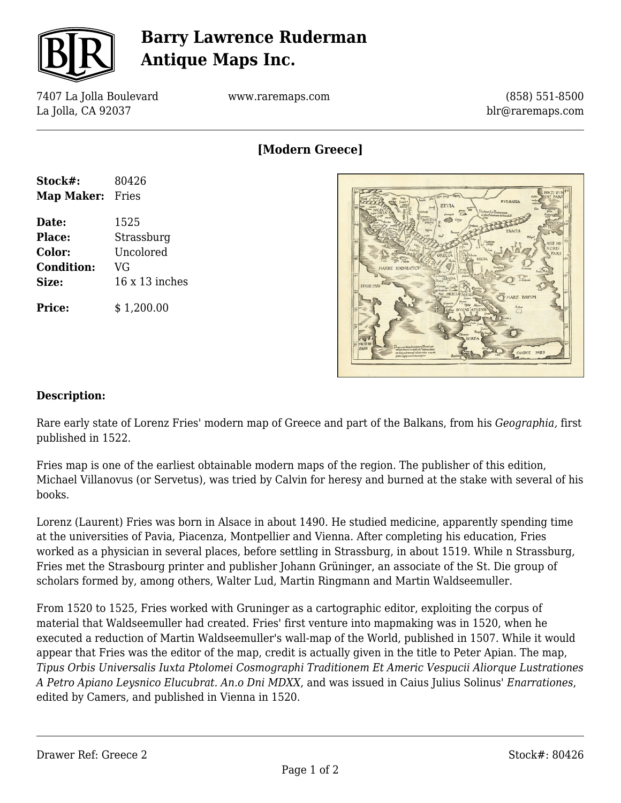

## **Barry Lawrence Ruderman Antique Maps Inc.**

7407 La Jolla Boulevard La Jolla, CA 92037

www.raremaps.com

(858) 551-8500 blr@raremaps.com

**[Modern Greece]**

| Stock#:           | 80426          |
|-------------------|----------------|
| Map Maker:        | Fries          |
| Date:             | 1525           |
| <b>Place:</b>     | Strassburg     |
| Color:            | Uncolored      |
| <b>Condition:</b> | VG             |
| Size:             | 16 x 13 inches |
| <b>Price:</b>     | \$1,200.00     |



## **Description:**

Rare early state of Lorenz Fries' modern map of Greece and part of the Balkans, from his *Geographia,* first published in 1522.

Fries map is one of the earliest obtainable modern maps of the region. The publisher of this edition, Michael Villanovus (or Servetus), was tried by Calvin for heresy and burned at the stake with several of his books.

Lorenz (Laurent) Fries was born in Alsace in about 1490. He studied medicine, apparently spending time at the universities of Pavia, Piacenza, Montpellier and Vienna. After completing his education, Fries worked as a physician in several places, before settling in Strassburg, in about 1519. While n Strassburg, Fries met the Strasbourg printer and publisher Johann Grüninger, an associate of the St. Die group of scholars formed by, among others, Walter Lud, Martin Ringmann and Martin Waldseemuller.

From 1520 to 1525, Fries worked with Gruninger as a cartographic editor, exploiting the corpus of material that Waldseemuller had created. Fries' first venture into mapmaking was in 1520, when he executed a reduction of Martin Waldseemuller's wall-map of the World, published in 1507. While it would appear that Fries was the editor of the map, credit is actually given in the title to Peter Apian. The map, *Tipus Orbis Universalis Iuxta Ptolomei Cosmographi Traditionem Et Americ Vespucii Aliorque Lustrationes A Petro Apiano Leysnico Elucubrat. An.o Dni MDXX*, and was issued in Caius Julius Solinus' *Enarrationes*, edited by Camers, and published in Vienna in 1520.